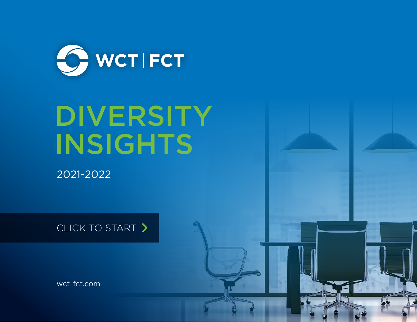

# **DIVERSITY** INSIGHTS

2021-2022

CLICK TO START >

[wct-fct.com](http://www.wct-fct.com)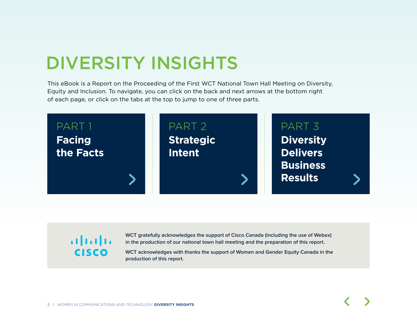## DIVERSITY INSIGHTS

This eBook is a Report on the Proceeding of the First WCT National Town Hall Meeting on Diversity, Equity and Inclusion. To navigate, you can click on the back and next arrows at the bottom right of each page, or click on the tabs at the top to jump to one of three parts.



## ahah **CISCO**

**WCT gratefully acknowledges the support of Cisco Canada (including the use of Webex) in the production of our national town hall meeting and the preparation of this report.** 

**WCT acknowledges with thanks the support of Women and Gender Equity Canada in the production of this report.**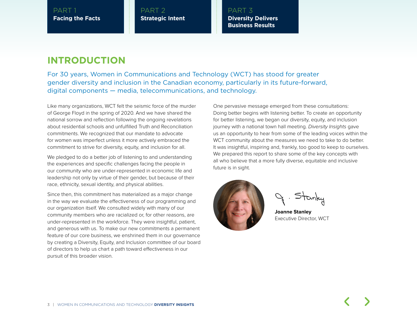PART 2 **Strategic Intent** PART 3 **Diversity Delivers Business Results** 

### **INTRODUCTION**

For 30 years, Women in Communications and Technology (WCT) has stood for greater gender diversity and inclusion in the Canadian economy, particularly in its future-forward, digital components — media, telecommunications, and technology.

Like many organizations, WCT felt the seismic force of the murder of George Floyd in the spring of 2020. And we have shared the national sorrow and reflection following the ongoing revelations about residential schools and unfulfilled Truth and Reconciliation commitments. We recognized that our mandate to advocate for women was imperfect unless it more actively embraced the commitment to strive for diversity, equity, and inclusion for all.

We pledged to do a better job of listening to and understanding the experiences and specific challenges facing the people in our community who are under-represented in economic life and leadership not only by virtue of their gender, but because of their race, ethnicity, sexual identity, and physical abilities.

Since then, this commitment has materialized as a major change in the way we evaluate the effectiveness of our programming and our organization itself. We consulted widely with many of our community members who are racialized or, for other reasons, are under-represented in the workforce. They were insightful, patient, and generous with us. To make our new commitments a permanent feature of our core business, we enshrined them in our governance by creating a Diversity, Equity, and Inclusion committee of our board of directors to help us chart a path toward effectiveness in our pursuit of this broader vision.

One pervasive message emerged from these consultations: Doing better begins with listening better. To create an opportunity for better listening, we began our diversity, equity, and inclusion journey with a national town hall meeting. *Diversity Insights* gave us an opportunity to hear from some of the leading voices within the WCT community about the measures we need to take to do better. It was insightful, inspiring and, frankly, too good to keep to ourselves. We prepared this report to share some of the key concepts with all who believe that a more fully diverse, equitable and inclusive future is in sight.



**Joanne Stanley** Executive Director, WCT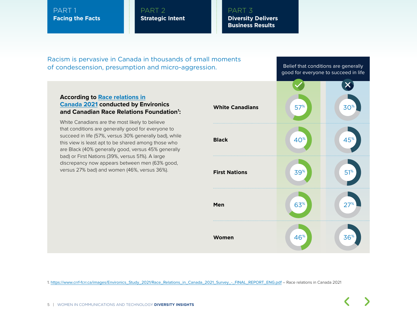PART 2 **Strategic Intent** PART 3 **Diversity Delivers Business Results** 

Racism is pervasive in Canada in thousands of small moments of condescension, presumption and micro-aggression.

Belief that conditions are generally good for everyone to succeed in life

#### **According to [Race relations in](https://www.crrf-fcrr.ca/images/Environics_Study_2021/Race_Relations_in_Canada_2021_Survey_-_FINAL_REPORT_ENG.pdf) [Canada 2021](https://www.crrf-fcrr.ca/images/Environics_Study_2021/Race_Relations_in_Canada_2021_Survey_-_FINAL_REPORT_ENG.pdf) conducted by Environics and Canadian Race Relations Foundation1 :**

White Canadians are the most likely to believe that conditions are generally good for everyone to succeed in life (57%, versus 30% generally bad), while this view is least apt to be shared among those who are Black (40% generally good, versus 45% generally bad) or First Nations (39%, versus 51%). A large discrepancy now appears between men (63% good, versus 27% bad) and women (46%, versus 36%).



1. [https://www.crrf-fcrr.ca/images/Environics\\_Study\\_2021/Race\\_Relations\\_in\\_Canada\\_2021\\_Survey\\_-\\_FINAL\\_REPORT\\_ENG.pdf](https://www.crrf-fcrr.ca/images/Environics_Study_2021/Race_Relations_in_Canada_2021_Survey_-_FINAL_REPORT_ENG.pdf) – Race relations in Canada 2021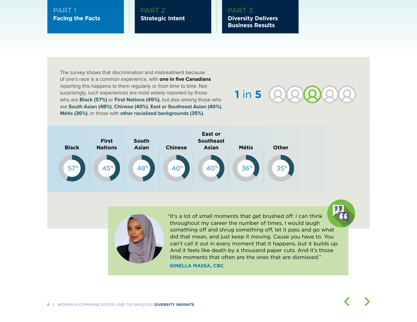#### PART 2 **Strategic Intent**

PART 3 **Diversity Delivers Business Results** 

The survey shows that discrimination and mistreatment because of one's race is a common experience, with **one in five Canadians** reporting this happens to them regularly or from time to time. Not surprisingly, such experiences are most widely reported by those who are **Black (57%)** or **First Nations (45%)**, but also among those who are **South Asian (48%)**, **Chinese (40%)**, **East or Southeast Asian (40%)**, **Métis (36%)**, or those with **other racialized backgrounds (35%)**.







"It's a lot of small moments that get brushed off. I can think throughout my career the number of times, I would laugh something off and shrug something off, let it pass and go what did that mean, and just keep it moving. Cause you have to. You can't call it out in every moment that it happens, but it builds up. And it feels like death by a thousand paper cuts. And it's those little moments that often are the ones that are dismissed."

**GINELLA MASSA, CBC**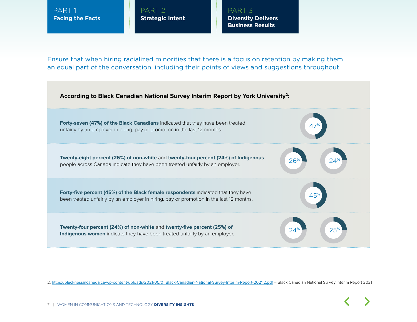PART 2 **Strategic Intent** PART 3 **Diversity Delivers Business Results** 

Ensure that when hiring racialized minorities that there is a focus on retention by making them an equal part of the conversation, including their points of views and suggestions throughout.



2. [https://blacknessincanada.ca/wp-content/uploads/2021/05/0\\_Black-Canadian-National-Survey-Interim-Report-2021.2.pdf](https://blacknessincanada.ca/wp-content/uploads/2021/05/0_Black-Canadian-National-Survey-Interim-Report-2021.2.pdf) – Black Canadian National Survey Interim Report 2021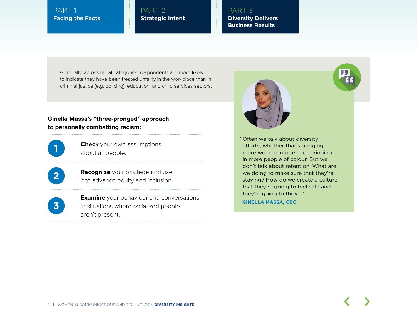PART 2 **Strategic Intent** PART 3 **Diversity Delivers Business Results** 

Generally, across racial categories, respondents are more likely to indicate they have been treated unfairly in the workplace than in criminal justice (e.g. policing), education, and child services sectors.

#### **Ginella Massa's "three-pronged" approach to personally combatting racism:**

**Check** your own assumptions about all people.

**2 Recognize** your privilege and use it to advance equity and inclusion.

**3**

**Examine** your behaviour and conversations in situations where racialized people aren't present.



"Often we talk about diversity efforts, whether that's bringing more women into tech or bringing in more people of colour. But we don't talk about retention. What are we doing to make sure that they're staying? How do we create a culture that they're going to feel safe and they're going to thrive."

**GINELLA MASSA, CBC**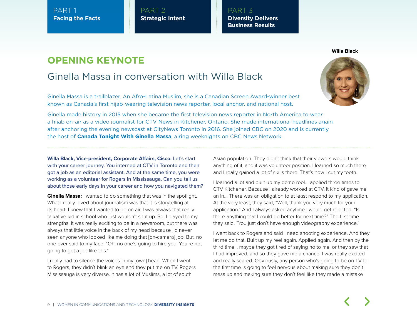PART 2 **Strategic Intent** PART 3 **Diversity Delivers Business Results** 

## **OPENING KEYNOTE**

## Ginella Massa in conversation with Willa Black

Ginella Massa is a trailblazer. An Afro-Latina Muslim, she is a Canadian Screen Award-winner best known as Canada's first hijab-wearing television news reporter, local anchor, and national host.

Ginella made history in 2015 when she became the first television news reporter in North America to wear a hijab on-air as a video journalist for CTV News in Kitchener, Ontario. She made international headlines again after anchoring the evening newscast at CityNews Toronto in 2016. She joined CBC on 2020 and is currently the host of **Canada Tonight With Ginella Massa**, airing weeknights on CBC News Network.

**Willa Black, Vice-president, Corporate Affairs, Cisco:** Let's start with your career journey. You interned at CTV in Toronto and then got a job as an editorial assistant. And at the same time, you were working as a volunteer for Rogers in Mississauga. Can you tell us about those early days in your career and how you navigated them?

**Ginella Massa:** I wanted to do something that was in the spotlight. What I really loved about journalism was that it is storytelling at its heart. I knew that I wanted to be on air. I was always that really talkative kid in school who just wouldn't shut up. So, I played to my strengths. It was really exciting to be in a newsroom, but there was always that little voice in the back of my head because I'd never seen anyone who looked like me doing that [on-camera] job. But, no one ever said to my face, "Oh, no one's going to hire you. You're not going to get a job like this."

I really had to silence the voices in my [own] head. When I went to Rogers, they didn't blink an eye and they put me on TV. Rogers Mississauga is very diverse. It has a lot of Muslims, a lot of south

Asian population. They didn't think that their viewers would think anything of it, and it was volunteer position. I learned so much there and I really gained a lot of skills there. That's how I cut my teeth.

I learned a lot and built up my demo reel. I applied three times to CTV Kitchener. Because I already worked at CTV, it kind of gave me an in… There was an obligation to at least respond to my application. At the very least, they said, "Well, thank you very much for your application." And I always asked anytime I would get rejected, "Is there anything that I could do better for next time?" The first time they said, "You just don't have enough videography experience."

I went back to Rogers and said I need shooting experience. And they let me do that. Built up my reel again. Applied again. And then by the third time… maybe they got tired of saying no to me, or they saw that I had improved, and so they gave me a chance. I was really excited and really scared. Obviously, any person who's going to be on TV for the first time is going to feel nervous about making sure they don't mess up and making sure they don't feel like they made a mistake

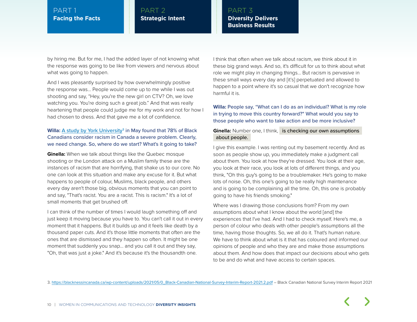PART 2 **Strategic Intent** PART 3 **Diversity Delivers Business Results** 

by hiring me. But for me, I had the added layer of not knowing what the response was going to be like from viewers and nervous about what was going to happen.

And I was pleasantly surprised by how overwhelmingly positive the response was... People would come up to me while I was out shooting and say, "Hey, you're the new girl on CTV? Oh, we love watching you. You're doing such a great job." And that was really heartening that people could judge me for my work and not for how I had chosen to dress. And that gave me a lot of confidence.

#### **Willa:** [A study by York University](https://blacknessincanada.ca/wp-content/uploads/2021/05/0_Black-Canadian-National-Survey-Interim-Report-2021.2.pdf)<sup>3</sup> in May found that 78% of Black Canadians consider racism in Canada a severe problem. Clearly, we need change. So, where do we start? What's it going to take?

**Ginella:** When we talk about things like the Quebec mosque shooting or the London attack on a Muslim family these are the instances of racism that are horrifying, that shake us to our core. No one can look at this situation and make any excuse for it. But what happens to people of colour, Muslims, black people, and others every day aren't those big, obvious moments that you can point to and say, "That's racist. You are a racist. This is racism." It's a lot of small moments that get brushed off.

I can think of the number of times I would laugh something off and just keep it moving because you have to. You can't call it out in every moment that it happens. But it builds up and it feels like death by a thousand paper cuts. And it's those little moments that often are the ones that are dismissed and they happen so often. It might be one moment that suddenly you snap… and you call it out and they say, "Oh, that was just a joke." And it's because it's the thousandth one.

I think that often when we talk about racism, we think about it in these big grand ways. And so, it's difficult for us to think about what role we might play in changing things… But racism is pervasive in these small ways every day and [it's] perpetuated and allowed to happen to a point where it's so casual that we don't recognize how harmful it is.

**Willa:** People say, "What can I do as an individual? What is my role in trying to move this country forward?" What would you say to those people who want to take action and be more inclusive?

#### **Ginella:** Number one, I think, is checking our own assumptions about people.

I give this example. I was renting out my basement recently. And as soon as people show up, you immediately make a judgment call about them. You look at how they're dressed. You look at their age, you look at their race, you look at lots of different things, and you think, "Oh this guy's going to be a troublemaker. He's going to make lots of noise. Oh, this one's going to be really high maintenance and is going to be complaining all the time. Oh, this one is probably going to have his friends smoking."

Where was I drawing those conclusions from? From my own assumptions about what I know about the world [and] the experiences that I've had. And I had to check myself. Here's me, a person of colour who deals with other people's assumptions all the time, having those thoughts. So, we all do it. That's human nature. We have to think about what is it that has coloured and informed our opinions of people and who they are and make those assumptions about them. And how does that impact our decisions about who gets to be and do what and have access to certain spaces.

3. [https://blacknessincanada.ca/wp-content/uploads/2021/05/0\\_Black-Canadian-National-Survey-Interim-Report-2021.2.pdf](https://blacknessincanada.ca/wp-content/uploads/2021/05/0_Black-Canadian-National-Survey-Interim-Report-2021.2.pdf) – Black Canadian National Survey Interim Report 2021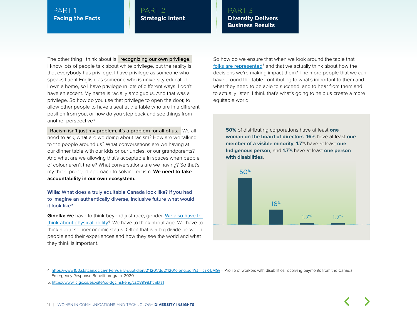#### PART 2 **Strategic Intent**

#### PART 3 **Diversity Delivers Business Results**

The other thing I think about is recognizing our own privilege. I know lots of people talk about white privilege, but the reality is that everybody has privilege. I have privilege as someone who speaks fluent English, as someone who is university educated. I own a home, so I have privilege in lots of different ways. I don't have an accent. My name is racially ambiguous. And that was a privilege. So how do you use that privilege to open the door, to allow other people to have a seat at the table who are in a different position from you, or how do you step back and see things from another perspective?

 Racism isn't just my problem, it's a problem for all of us. We all need to ask, what are we doing about racism? How are we talking to the people around us? What conversations are we having at our dinner table with our kids or our uncles, or our grandparents? And what are we allowing that's acceptable in spaces when people of colour aren't there? What conversations are we having? So that's my three-pronged approach to solving racism. **We need to take accountability in our own ecosystem.**

#### **Willa:** What does a truly equitable Canada look like? If you had to imagine an authentically diverse, inclusive future what would it look like?

**Ginella:** We have to think beyond just race, gender. We also have to [think about physical ability](https://www150.statcan.gc.ca/n1/en/daily-quotidien/211201/dq211201c-eng.pdf?st=_czK-LMG))<sup>4</sup>. We have to think about age. We have to think about socioeconomic status. Often that is a big divide between people and their experiences and how they see the world and what they think is important.

So how do we ensure that when we look around the table that [folks are represented](https://www.ic.gc.ca/eic/site/cd-dgc.nsf/eng/cs08998.html#s1)<sup>5</sup> and that we actually think about how the decisions we're making impact them? The more people that we can have around the table contributing to what's important to them and what they need to be able to succeed, and to hear from them and to actually listen, I think that's what's going to help us create a more equitable world.

**50%** of distributing corporations have at least **one woman on the board of directors**. **16%** have at least **one member of a visible minority**, **1.7**% have at least **one Indigenous person**, and **1.7%** have at least **one person with disabilities**.



4. [https://www150.statcan.gc.ca/n1/en/daily-quotidien/211201/dq211201c-eng.pdf?st=\\_czK-LMG\)](https://www150.statcan.gc.ca/n1/en/daily-quotidien/211201/dq211201c-eng.pdf?st=_czK-LMG)) – Profile of workers with disabilities receiving payments from the Canada Emergency Response Benefit program, 2020

5. <https://www.ic.gc.ca/eic/site/cd-dgc.nsf/eng/cs08998.html#s1>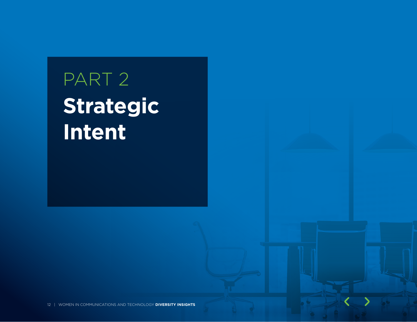## PART 2 **Strategic Intent**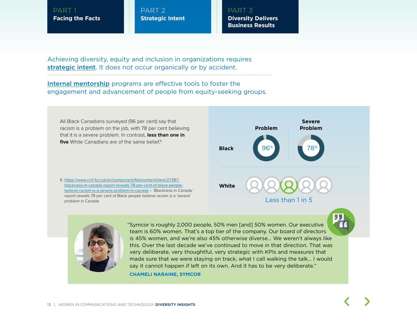PART 2 **Strategic Intent** PART 3 **Diversity Delivers Business Results** 

Achieving diversity, equity and inclusion in organizations requires [strategic intent](https://www.wct-fct.com/en/programs/the-protege-project). It does not occur organically or by accident.

[Internal mentorship](https://www.wct-fct.com/en/programs/mentorship) programs are effective tools to foster the engagement and advancement of people from equity-seeking groups.



**CHAMELI NARAINE, SYMCOR**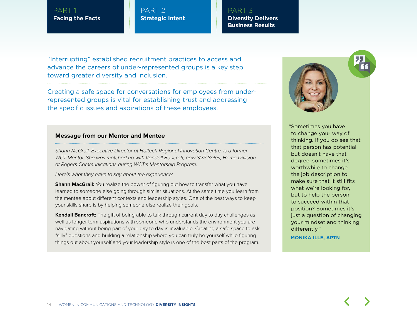PART 2 **Strategic Intent** PART 3 **Diversity Delivers Business Results** 

"Interrupting" established recruitment practices to access and advance the careers of under-represented groups is a key step toward greater diversity and inclusion.

Creating a safe space for conversations for employees from underrepresented groups is vital for establishing trust and addressing the specific issues and aspirations of these employees.

#### **Message from our Mentor and Mentee**

*Shann McGrail, Executive Director at Haltech Regional Innovation Centre, is a former WCT Mentor. She was matched up with Kendall Bancroft, now SVP Sales, Home Division at Rogers Communications during WCT's Mentorship Program.* 

*Here's what they have to say about the experience:*

**Shann MacGrail:** You realize the power of figuring out how to transfer what you have learned to someone else going through similar situations. At the same time you learn from the mentee about different contexts and leadership styles. One of the best ways to keep your skills sharp is by helping someone else realize their goals.

**Kendall Bancroft:** The gift of being able to talk through current day to day challenges as well as longer term aspirations with someone who understands the environment you are navigating without being part of your day to day is invaluable. Creating a safe space to ask "silly" questions and building a relationship where you can truly be yourself while figuring things out about yourself and your leadership style is one of the best parts of the program.



"Sometimes you have to change your way of thinking. If you do see that that person has potential but doesn't have that degree, sometimes it's worthwhile to change the job description to make sure that it still fits what we're looking for, but to help the person to succeed within that position? Sometimes it's just a question of changing your mindset and thinking differently."

**MONIKA ILLE, APTN**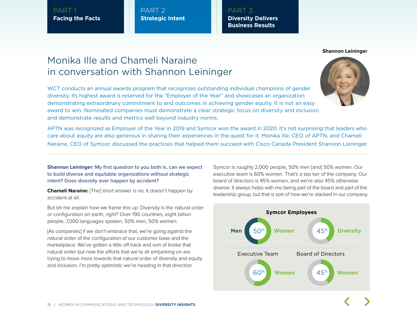PART 2 **Strategic Intent** PART 3 **Diversity Delivers Business Results** 

#### **Shannon Leininger**

## Monika Ille and Chameli Naraine in conversation with Shannon Leininger

WCT conducts an annual awards program that recognizes outstanding individual champions of gender diversity. Its highest award is reserved for the "Employer of the Year" and showcases an organization demonstrating extraordinary commitment to and outcomes in achieving gender equity. It is not an easy award to win. Nominated companies must demonstrate a clear strategic focus on diversity and inclusion and demonstrate results and metrics well beyond industry norms.



APTN was recognized as Employer of the Year in 2019 and Symcor won the award in 2020. It's not surprising that leaders who care about equity are also generous in sharing their experiences in the quest for it. Monika Ille, CEO of APTN, and Chameli Naraine, CEO of Symcor, discussed the practices that helped them succeed with Cisco Canada President Shannon Leininger.

**Shannon Leininger:** My first question to you both is, can we expect to build diverse and equitable organizations without strategic intent? Does diversity ever happen by accident?

**Chameli Naraine:** [The] short answer is no. It doesn't happen by accident at all.

But let me explain how we frame this up. Diversity is the natural order or configuration on earth, right? Over 190 countries, eight billion people, 7,000 languages spoken, 50% men, 50% women.

[As companies] if we don't embrace that, we're going against the natural order of the configuration of our customer base and the marketplace. We've gotten a little off track and sort of broke that natural order but now the efforts that we're all embarking on are trying to move more towards that natural order of diversity and equity and inclusion. I'm pretty optimistic we're heading in that direction.

Symcor is roughly 2,000 people, 50% men [and] 50% women. Our executive team is 60% women. That's a top tier of the company. Our board of directors is 45% women, and we're also 45% otherwise diverse. It always helps with me being part of the board and part of the leadership group, but that is sort of how we're stacked in our company.

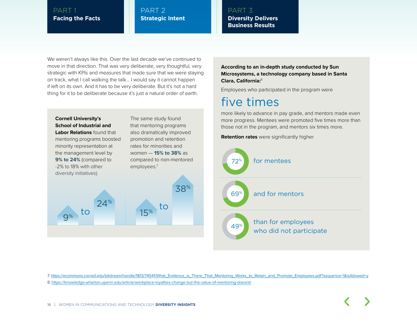#### PART 2 **Strategic Intent**

#### PART 3 **Diversity Delivers Business Results**

We weren't always like this. Over the last decade we've continued to move in that direction. That was very deliberate, very thoughtful, very strategic with KPIs and measures that made sure that we were staying on track, what I call walking the talk… I would say it cannot happen if left on its own. And it has to be very deliberate. But it's not a hard thing for it to be deliberate because it's just a natural order of earth.



**According to an in-depth study conducted by Sun Microsystems, a technology company based in Santa Clara, California:**<sup>8</sup>

Employees who participated in the program were

## five times

more likely to advance in pay grade, and mentors made even more progress. Mentees were promoted five times more than those not in the program, and mentors six times more.





7. [https://ecommons.cornell.edu/bitstream/handle/1813/74541/What\\_Evidence\\_is\\_There\\_That\\_Mentoring\\_Works\\_to\\_Retain\\_and\\_Promote\\_Employees.pdf?sequence=1&isAllowed=y](https://ecommons.cornell.edu/bitstream/handle/1813/74541/What_Evidence_is_There_That_Mentoring_Works_to_Retain_and_Promote_Employees.pdf?sequence=1&isAllowed=y)

8. <https://knowledge.wharton.upenn.edu/article/workplace-loyalties-change-but-the-value-of-mentoring-doesnt/>

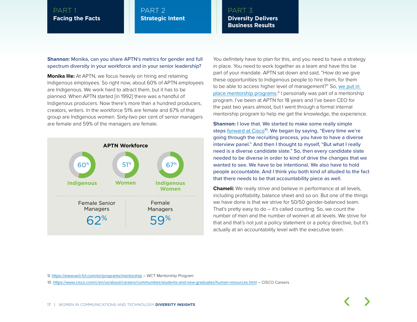#### PART 2 **Strategic Intent**

#### PART 3 **Diversity Delivers Business Results**

**Shannon:** Monika, can you share APTN's metrics for gender and full spectrum diversity in your workforce and in your senior leadership?

**Monika Ille:** At APTN, we focus heavily on hiring and retaining Indigenous employees. So right now, about 60% of APTN employees are Indigenous. We work hard to attract them, but it has to be planned. When APTN started [in 1992] there was a handful of Indigenous producers. Now there's more than a hundred producers, creators, writers. In the workforce 51% are female and 67% of that group are Indigenous women. Sixty-two per cent of senior managers are female and 59% of the managers are female.



You definitely have to plan for this, and you need to have a strategy in place. You need to work together as a team and have this be part of your mandate. APTN sat down and said, "How do we give these opportunities to Indigenous people to hire them, for them to be able to access higher level of management?" So, [we put in](https://www.wct-fct.com/en/programs/mentorship)  [place mentorship programs](https://www.wct-fct.com/en/programs/mentorship). 9 I personally was part of a mentorship program. I've been at APTN for 18 years and I've been CEO for the past two years almost, but I went through a formal internal mentorship program to help me get the knowledge, the experience.

**Shannon:** I love that. We started to make some really simple steps [forward at Cisco](https://www.cisco.com/c/en/us/about/careers/communities/students-and-new-graduates/human-resources.html)<sup>10</sup>. We began by saying, "Every time we're going through the recruiting process, you have to have a diverse interview panel." And then I thought to myself, "But what I really need is a diverse candidate slate." So, then every candidate slate needed to be diverse in order to kind of drive the changes that we wanted to see. We have to be intentional. We also have to hold people accountable. And I think you both kind of alluded to the fact that there needs to be that accountability piece as well.

**Chameli:** We really strive and believe in performance at all levels, including profitability, balance sheet and so on. But one of the things we have done is that we strive for 50/50 gender-balanced team. That's pretty easy to  $do - it's called counting. So, we count the$ number of men and the number of women at all levels. We strive for that and that's not just a policy statement or a policy directive, but it's actually at an accountability level with the executive team.

9. <https://www.wct-fct.com/en/programs/mentorship> – WCT Mentorship Program

10. <https://www.cisco.com/c/en/us/about/careers/communities/students-and-new-graduates/human-resources.html> – CISCO Careers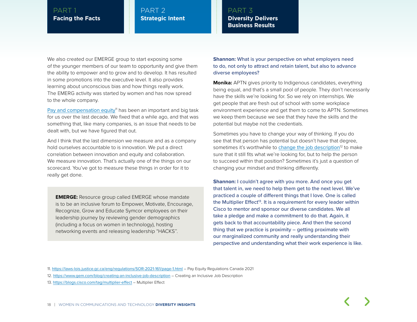#### PART 2 **Strategic Intent**

PART 3 **Diversity Delivers Business Results** 

We also created our EMERGE group to start exposing some of the younger members of our team to opportunity and give them the ability to empower and to grow and to develop. It has resulted in some promotions into the executive level. It also provides learning about unconscious bias and how things really work. The EMERG activity was started by women and has now spread to the whole company.

[Pay and compensation equity](https://laws-lois.justice.gc.ca/eng/regulations/SOR-2021-161/page-1.html)<sup>11</sup> has been an important and big task for us over the last decade. We fixed that a while ago, and that was something that, like many companies, is an issue that needs to be dealt with, but we have figured that out.

And I think that the last dimension we measure and as a company hold ourselves accountable to is innovation. We put a direct correlation between innovation and equity and collaboration. We measure innovation. That's actually one of the things on our scorecard. You've got to measure these things in order for it to really get done.

**EMERGE:** Resource group called EMERGE whose mandate is to be an inclusive forum to Empower, Motivate, Encourage, Recognize, Grow and Educate Symcor employees on their leadership journey by reviewing gender demographics (including a focus on women in technology), hosting networking events and releasing leadership "HACKS''.

**Shannon:** What is your perspective on what employers need to do, not only to attract and retain talent, but also to advance diverse employees?

**Monika:** APTN gives priority to Indigenous candidates, everything being equal, and that's a small pool of people. They don't necessarily have the skills we're looking for. So we rely on internships. We get people that are fresh out of school with some workplace environment experience and get them to come to APTN. Sometimes we keep them because we see that they have the skills and the potential but maybe not the credentials.

Sometimes you have to change your way of thinking. If you do see that that person has potential but doesn't have that degree, sometimes it's worthwhile to [change the job description](https://www.gem.com/blog/creating-an-inclusive-job-description) $12$  to make sure that it still fits what we're looking for, but to help the person to succeed within that position? Sometimes it's just a question of changing your mindset and thinking differently.

**Shannon:** I couldn't agree with you more. And once you get that talent in, we need to help them get to the next level. We've practiced a couple of different things that I love. One is called the Multiplier Effect<sup>13</sup>. It is a requirement for every leader within Cisco to mentor and sponsor our diverse candidates. We all take a pledge and make a commitment to do that. Again, it gets back to that accountability piece. And then the second thing that we practice is proximity – getting proximate with our marginalized community and really understanding their perspective and understanding what their work experience is like.

11. <https://laws-lois.justice.gc.ca/eng/regulations/SOR-2021-161/page-1.html> – Pay Equity Regulations Canada 2021

12. <https://www.gem.com/blog/creating-an-inclusive-job-description> – Creating an Inclusive Job Description

13. <https://blogs.cisco.com/tag/multiplier-effect> – Multiplier Effect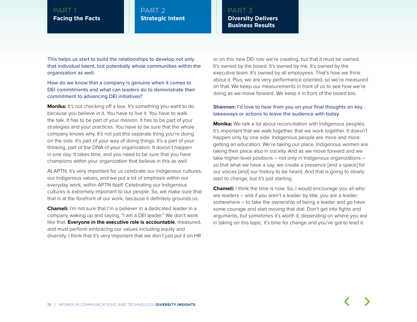#### PART 2 **Strategic Intent**

PART 3 **Diversity Delivers Business Results** 

This helps us start to build the relationships to develop not only that individual talent, but potentially whole communities within the organization as well.

#### How do we know that a company is genuine when it comes to DEI commitments and what can leaders do to demonstrate their commitment to advancing DEI initiatives?

**Monika:** It's not checking off a box. It's something you want to do because you believe in it. You have to live it. You have to walk the talk. It has to be part of your mission. It has to be part of your strategies and your practices. You have to be sure that the whole company knows why. It's not just this separate thing you're doing on the side. It's part of your way of doing things. It's a part of your thinking, part of the DNA of your organization. It doesn't happen in one day. It takes time, and you need to be sure that you have champions within your organization that believe in this as well.

At APTN, it's very important for us celebrate our Indigenous cultures, our Indigenous values, and we put a lot of emphasis within our everyday work, within APTN itself. Celebrating our Indigenous cultures is extremely important to our people. So, we make sure that that is at the forefront of our work, because it definitely grounds us.

**Chameli:** I'm not sure that I'm a believer in a dedicated leader in a company waking up and saying, "I am a DEI leader." We don't work like that. **Everyone in the executive role is accountable**, measured, and must perform embracing our values including equity and diversity. I think that it's very important that we don't just put it on HR

or on this new DEI role we're creating, but that it must be owned. It's owned by the board. It's owned by me. It's owned by the executive team. It's owned by all employees. That's how we think about it. Plus, we are very performance oriented, so we're measured on that. We keep our measurements in front of us to see how we're doing as we move forward. We keep it in front of the board too.

#### **Shannon:** I'd love to hear from you on your final thoughts on key takeaways or actions to leave the audience with today.

**Monika:** We talk a lot about reconciliation with Indigenous peoples. It's important that we walk together, that we work together. It doesn't happen only by one side. Indigenous people are more and more getting an education. We're taking our place. Indigenous women are taking their place also in society. And as we move forward and we take higher-level positions – not only in Indigenous organizations – so that what we have a say, we create a presence [and a space] for our voices [and] our history to be heard. And that is going to slowly start to change, but it's just starting.

**Chameli:** I think the time is now. So, I would encourage you all who are leaders – and if you aren't a leader by title, you are a leader somewhere – to take the ownership of being a leader and go have some courage and start moving that dial. Don't get into fights and arguments, but sometimes it's worth it, depending on where you are in taking on this topic. It's time for change and you've got to lead it.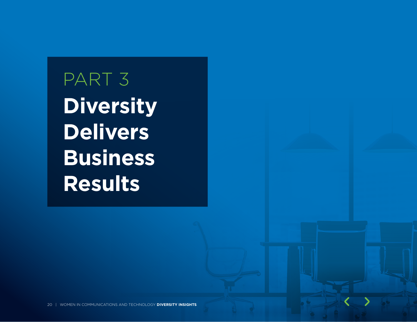PART 3 **Diversity Delivers Business Results**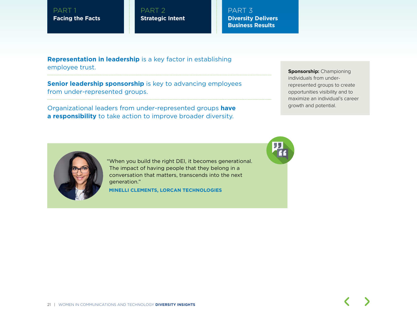PART 2 **Strategic Intent** PART 3 **Diversity Delivers Business Results** 

**Representation in leadership** is a key factor in establishing employee trust.

**Senior leadership sponsorship** is key to advancing employees from under-represented groups.

Organizational leaders from under-represented groups **have a responsibility** to take action to improve broader diversity.

**Sponsorship: Championing** individuals from underrepresented groups to create opportunities visibility and to maximize an individual's career growth and potential.



"When you build the right DEI, it becomes generational. The impact of having people that they belong in a conversation that matters, transcends into the next generation."

**MINELLI CLEMENTS, LORCAN TECHNOLOGIES**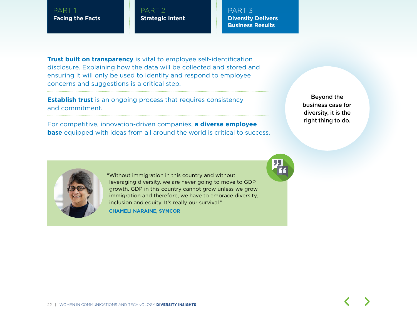PART 2 **Strategic Intent** PART 3 **Diversity Delivers Business Results** 

**Trust built on transparency** is vital to employee self-identification disclosure. Explaining how the data will be collected and stored and ensuring it will only be used to identify and respond to employee concerns and suggestions is a critical step.

**Establish trust** is an ongoing process that requires consistency and commitment.

For competitive, innovation-driven companies, **a diverse employee base** equipped with ideas from all around the world is critical to success.

**Beyond the business case for diversity, it is the right thing to do.**



"Without immigration in this country and without leveraging diversity, we are never going to move to GDP growth. GDP in this country cannot grow unless we grow immigration and therefore, we have to embrace diversity, inclusion and equity. It's really our survival."

**CHAMELI NARAINE, SYMCOR**

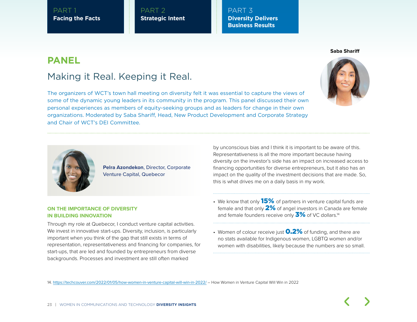PART 2 **Strategic Intent** PART 3 **Diversity Delivers Business Results** 

## **PANEL**

## Making it Real. Keeping it Real.

The organizers of WCT's town hall meeting on diversity felt it was essential to capture the views of some of the dynamic young leaders in its community in the program. This panel discussed their own personal experiences as members of equity-seeking groups and as leaders for change in their own organizations. Moderated by Saba Shariff, Head, New Product Development and Corporate Strategy and Chair of WCT's DEI Committee.



#### **ON THE IMPORTANCE OF DIVERSITY IN BUILDING INNOVATION**

Through my role at Quebecor, I conduct venture capital activities. We invest in innovative start-ups. Diversity, inclusion, is particularly important when you think of the gap that still exists in terms of representation, representativeness and financing for companies, for start-ups, that are led and founded by entrepreneurs from diverse backgrounds. Processes and investment are still often marked

**Pelra Azondekon**, Director, Corporate

Venture Capital, Quebecor

- We know that only  $15\%$  of partners in venture capital funds are female and that only  $2\%$  of angel investors in Canada are female and female founders receive only  $\frac{3\%}{10}$  of VC dollars.<sup>14</sup>
- Women of colour receive just  $0.2\%$  of funding, and there are no stats available for Indigenous women, LGBTQ women and/or women with disabilities, likely because the numbers are so small.

14. <https://techcouver.com/2022/01/05/how-women-in-venture-capital-will-win-in-2022/> – How Women in Venture Capital Will Win in 2022



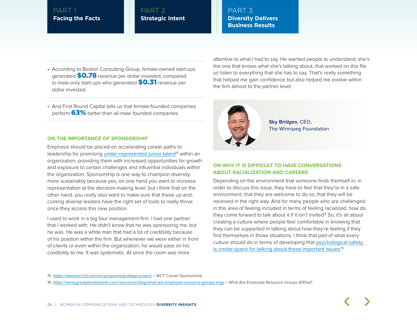#### PART 2 **Strategic Intent**

#### PART 3 **Diversity Delivers Business Results**

• According to Boston Consulting Group, female-owned start-ups generated \$0.78 revenue per dollar invested, compared to male-only start-ups who generated **\$0.31** revenue per dollar invested.

• And First Round Capital tells us that female-founded companies perform 63% better than all-male founded companies.

#### **ON THE IMPORTANCE OF SPONSORSHIP**

Emphasis should be placed on accelerating career paths to leadership for promising [under-represented junior talent](https://www.wct-fct.com/en/programs/protégé-project)<sup>15</sup> within an organization, providing them with increased opportunities for growth and exposure to certain challenges and influential individuals within the organization. Sponsorship is one way to champion diversity more sustainably because yes, on one hand you want to increase representation at the decision-making level, but I think that on the other hand, you really also want to make sure that these up-andcoming diverse leaders have the right set of tools to really thrive once they access this new position.

I used to work in a big four management firm. I had one partner that I worked with. He didn't know that he was sponsoring me, but he was. He was a white man that had a lot of credibility because of his position within the firm. But whenever we were either in front of clients or even within the organization, he would pass on his credibility to me. It was systematic. At once the room was more

attentive to what I had to say. He wanted people to understand, she's the one that knows what she's talking about, that worked on this file so listen to everything that she has to say. That's really something that helped me gain confidence but also helped me evolve within the firm almost to the partner level.



**Sky Bridges**, CEO, The Winnipeg Foundation

#### **ON WHY IT IS DIFFICULT TO HAVE CONVERSATIONS ABOUT RACIALIZATION AND CAREERS**

Depending on the environment that someone finds themself in, in order to discuss this issue, they have to feel that they're in a safe environment, that they are welcome to do so, that they will be received in the right way. And for many people who are challenged in this area of feeling included in terms of feeling racialized, how do they come forward to talk about it if it isn't invited? So, it's all about creating a culture where people feel comfortable in knowing that they can be supported in talking about how they're feeling if they find themselves in those situations. I think that part of what every culture should do in terms of developing that psychological safety [is create space for talking about these important issues](https://www.greatplacetowork.com/resources/blog/what-are-employee-resource-groups-ergs).<sup>16</sup>

15. <https://www.wct-fct.com/en/programs/protégé-project> - WCT Career Sponsorship

16. <https://www.greatplacetowork.com/resources/blog/what-are-employee-resource-groups-ergs> – What Are Employee Resource Groups (ERGs)?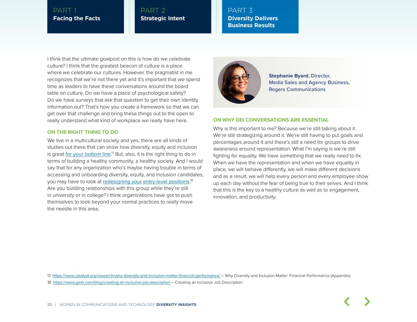#### PART 2 **Strategic Intent**

PART 3 **Diversity Delivers Business Results** 

I think that the ultimate goalpost on this is how do we celebrate culture? I think that the greatest beacon of culture is a place where we celebrate our cultures. However, the pragmatist in me recognizes that we're not there yet and it's important that we spend time as leaders to have these conversations around the board table on culture. Do we have a place of psychological safety? Do we have surveys that ask that question to get their own identity information out? That's how you create a framework so that we can get over that challenge and bring these things out to the open to really understand what kind of workplace we really have here.

#### **ON THE RIGHT THING TO DO**

We live in a multicultural society and yes, there are all kinds of studies out there that can show how diversity, equity and inclusion is great <u>[for your bottom line](https://www.catalyst.org/research/why-diversity-and-inclusion-matter-financial-performance/)</u>.17 But, also, it is the right thing to do in terms of building a healthy community, a healthy society. And I would say that for any organization who's maybe having trouble in terms of accessing and onboarding diversity, equity, and inclusion candidates, you may have to look at <u>[redesigning your entry-level positions](https://www.gem.com/blog/creating-an-inclusive-job-description)</u>.18 Are you building relationships with this group while they're still in university or in college? I think organizations have got to push themselves to look beyond your normal practices to really move the needle in this area.



**Stephanie Byard**, Director, Media Sales and Agency Business, Rogers Communications

#### **ON WHY DEI CONVERSATIONS ARE ESSENTIAL**

Why is this important to me? Because we're still talking about it. We're still strategizing around it. We're still having to put goals and percentages around it and there's still a need for groups to drive awareness around representation. What I'm saying is we're still fighting for equality. We have something that we really need to fix. When we have the representation and when we have equality in place, we will behave differently, we will make different decisions and as a result, we will help every person and every employee show up each day without the fear of being true to their selves. And I think that this is the key to a healthy culture as well as to engagement, innovation, and productivity.

17. <https://www.catalyst.org/research/why-diversity-and-inclusion-matter-financial-performance/> - Why Diversity and Inclusion Matter: Financial Performance (Appendix) 18. <https://www.gem.com/blog/creating-an-inclusive-job-description> – Creating an Inclusive Job Description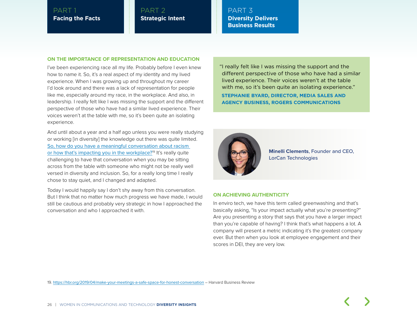PART 2 **Strategic Intent** PART 3 **Diversity Delivers Business Results** 

#### **ON THE IMPORTANCE OF REPRESENTATION AND EDUCATION**

I've been experiencing race all my life. Probably before I even knew how to name it. So, it's a real aspect of my identity and my lived experience. When I was growing up and throughout my career I'd look around and there was a lack of representation for people like me, especially around my race, in the workplace. And also, in leadership. I really felt like I was missing the support and the different perspective of those who have had a similar lived experience. Their voices weren't at the table with me, so it's been quite an isolating experience.

And until about a year and a half ago unless you were really studying or working [in diversity] the knowledge out there was quite limited. [So, how do you have a meaningful conversation about racism](https://hbr.org/2019/04/make-your-meetings-a-safe-space-for-honest-conversation)  [or how that's impacting you in the workplace?](https://hbr.org/2019/04/make-your-meetings-a-safe-space-for-honest-conversation)19 It's really quite challenging to have that conversation when you may be sitting across from the table with someone who might not be really well versed in diversity and inclusion. So, for a really long time I really chose to stay quiet, and I changed and adapted.

Today I would happily say I don't shy away from this conversation. But I think that no matter how much progress we have made, I would still be cautious and probably very strategic in how I approached the conversation and who I approached it with.

"I really felt like I was missing the support and the different perspective of those who have had a similar lived experience. Their voices weren't at the table with me, so it's been quite an isolating experience."

**STEPHANIE BYARD, DIRECTOR, MEDIA SALES AND AGENCY BUSINESS, ROGERS COMMUNICATIONS**



**Minelli Clements**, Founder and CEO, LorCan Technologies

#### **ON ACHIEVING AUTHENTICITY**

In enviro tech, we have this term called greenwashing and that's basically asking, "Is your impact actually what you're presenting?" Are you presenting a story that says that you have a larger impact than you're capable of having? I think that's what happens a lot. A company will present a metric indicating it's the greatest company ever. But then when you look at employee engagement and their scores in DEI, they are very low.

19. <https://hbr.org/2019/04/make-your-meetings-a-safe-space-for-honest-conversation> – Harvard Business Review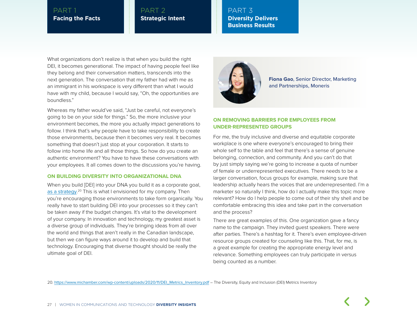#### PART 2 **Strategic Intent**

PART 3 **Diversity Delivers Business Results** 

What organizations don't realize is that when you build the right DEI, it becomes generational. The impact of having people feel like they belong and their conversation matters, transcends into the next generation. The conversation that my father had with me as an immigrant in his workspace is very different than what I would have with my child, because I would say, "Oh, the opportunities are boundless."

Whereas my father would've said, "Just be careful, not everyone's going to be on your side for things." So, the more inclusive your environment becomes, the more you actually impact generations to follow. I think that's why people have to take responsibility to create those environments, because then it becomes very real. It becomes something that doesn't just stop at your corporation. It starts to follow into home life and all those things. So how do you create an authentic environment? You have to have these conversations with your employees. It all comes down to the discussions you're having.

#### **ON BUILDING DIVERSITY INTO ORGANIZATIONAL DNA**

When you build [DEI] into your DNA you build it as a corporate goal, [as a strategy](https://www.michamber.com/wp-content/uploads/2020/11/DEI_Metrics_Inventory.pdf).<sup>20</sup> This is what I envisioned for my company. Then you're encouraging those environments to take form organically. You really have to start building DEI into your processes so it they can't be taken away if the budget changes. It's vital to the development of your company. In innovation and technology, my greatest asset is a diverse group of individuals. They're bringing ideas from all over the world and things that aren't really in the Canadian landscape, but then we can figure ways around it to develop and build that technology. Encouraging that diverse thought should be really the ultimate goal of DEI.



**Fiona Gao**, Senior Director, Marketing and Partnerships, Moneris

#### **ON REMOVING BARRIERS FOR EMPLOYEES FROM UNDER-REPRESENTED GROUPS**

For me, the truly inclusive and diverse and equitable corporate workplace is one where everyone's encouraged to bring their whole self to the table and feel that there's a sense of genuine belonging, connection, and community. And you can't do that by just simply saying we're going to increase a quota of number of female or underrepresented executives. There needs to be a larger conversation, focus groups for example, making sure that leadership actually hears the voices that are underrepresented. I'm a marketer so naturally I think, how do I actually make this topic more relevant? How do I help people to come out of their shy shell and be comfortable embracing this idea and take part in the conversation and the process?

There are great examples of this. One organization gave a fancy name to the campaign. They invited guest speakers. There were after parties. There's a hashtag for it. There's even employee-driven resource groups created for counseling like this. That, for me, is a great example for creating the appropriate energy level and relevance. Something employees can truly participate in versus being counted as a number.

20. [https://www.michamber.com/wp-content/uploads/2020/11/DEI\\_Metrics\\_Inventory.pdf](https://www.michamber.com/wp-content/uploads/2020/11/DEI_Metrics_Inventory.pdf) – The Diversity, Equity and Inclusion (DEI) Metrics Inventory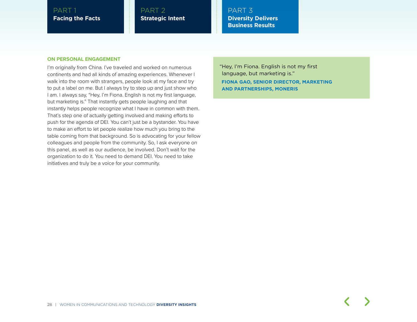#### PART 2 **Strategic Intent**

PART 3 **Diversity Delivers Business Results** 

#### **ON PERSONAL ENGAGEMENT**

I'm originally from China. I've traveled and worked on numerous continents and had all kinds of amazing experiences. Whenever I walk into the room with strangers, people look at my face and try to put a label on me. But I always try to step up and just show who I am. I always say, "Hey, I'm Fiona. English is not my first language, but marketing is." That instantly gets people laughing and that instantly helps people recognize what I have in common with them. That's step one of actually getting involved and making efforts to push for the agenda of DEI. You can't just be a bystander. You have to make an effort to let people realize how much you bring to the table coming from that background. So is advocating for your fellow colleagues and people from the community. So, I ask everyone on this panel, as well as our audience, be involved. Don't wait for the organization to do it. You need to demand DEI. You need to take initiatives and truly be a voice for your community.

"Hey, I'm Fiona. English is not my first language, but marketing is." **FIONA GAO, SENIOR DIRECTOR, MARKETING AND PARTNERSHIPS, MONERIS**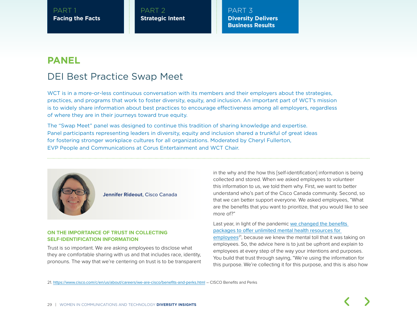PART 2 **Strategic Intent** PART 3 **Diversity Delivers Business Results** 

## **PANEL** DEI Best Practice Swap Meet

WCT is in a more-or-less continuous conversation with its members and their employers about the strategies, practices, and programs that work to foster diversity, equity, and inclusion. An important part of WCT's mission is to widely share information about best practices to encourage effectiveness among all employers, regardless of where they are in their journeys toward true equity.

The "Swap Meet" panel was designed to continue this tradition of sharing knowledge and expertise. Panel participants representing leaders in diversity, equity and inclusion shared a trunkful of great ideas for fostering stronger workplace cultures for all organizations. Moderated by Cheryl Fullerton, EVP People and Communications at Corus Entertainment and WCT Chair.



**Jennifer Rideout**, Cisco Canada

#### **ON THE IMPORTANCE OF TRUST IN COLLECTING SELF-IDENTIFICATION INFORMATION**

Trust is so important. We are asking employees to disclose what they are comfortable sharing with us and that includes race, identity, pronouns. The way that we're centering on trust is to be transparent

in the why and the how this [self-identification] information is being collected and stored. When we asked employees to volunteer this information to us, we told them why. First, we want to better understand who's part of the Cisco Canada community. Second, so that we can better support everyone. We asked employees, "What are the benefits that you want to prioritize, that you would like to see more of?"

Last year, in light of the pandemic [we changed the benefits](https://www.cisco.com/c/en/us/about/careers/we-are-cisco/benefits-and-perks.html)  [packages to offer unlimited mental health resources for](https://www.cisco.com/c/en/us/about/careers/we-are-cisco/benefits-and-perks.html)  [employees](https://www.cisco.com/c/en/us/about/careers/we-are-cisco/benefits-and-perks.html)<sup>21</sup>, because we knew the mental toll that it was taking on employees. So, the advice here is to just be upfront and explain to employees at every step of the way your intentions and purposes. You build that trust through saying, "We're using the information for this purpose. We're collecting it for this purpose, and this is also how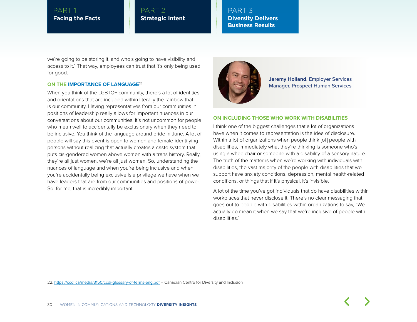#### PART 2 **Strategic Intent**

#### PART 3 **Diversity Delivers Business Results**

we're going to be storing it, and who's going to have visibility and access to it." That way, employees can trust that it's only being used for good.

#### **ON THE [IMPORTANCE OF LANGUAGE](https://ccdi.ca/media/3150/ccdi-glossary-of-terms-eng.pdf)**<sup>22</sup>

When you think of the LGBTQ+ community, there's a lot of identities and orientations that are included within literally the rainbow that is our community. Having representatives from our communities in positions of leadership really allows for important nuances in our conversations about our communities. It's not uncommon for people who mean well to accidentally be exclusionary when they need to be inclusive. You think of the language around pride in June. A lot of people will say this event is open to women and female-identifying persons without realizing that actually creates a caste system that puts cis-gendered women above women with a trans history. Really, they're all just women, we're all just women. So, understanding the nuances of language and when you're being inclusive and when you're accidentally being exclusive is a privilege we have when we have leaders that are from our communities and positions of power. So, for me, that is incredibly important.



**Jeremy Holland**, Employer Services Manager, Prospect Human Services

#### **ON INCLUDING THOSE WHO WORK WITH DISABILITIES**

I think one of the biggest challenges that a lot of organizations have when it comes to representation is the idea of disclosure. Within a lot of organizations when people think [of] people with disabilities, immediately what they're thinking is someone who's using a wheelchair or someone with a disability of a sensory nature. The truth of the matter is when we're working with individuals with disabilities, the vast majority of the people with disabilities that we support have anxiety conditions, depression, mental health-related conditions, or things that if it's physical, it's invisible.

A lot of the time you've got individuals that do have disabilities within workplaces that never disclose it. There's no clear messaging that goes out to people with disabilities within organizations to say, "We actually do mean it when we say that we're inclusive of people with disabilities."

22. <https://ccdi.ca/media/3150/ccdi-glossary-of-terms-eng.pdf> – Canadian Centre for Diversity and Inclusion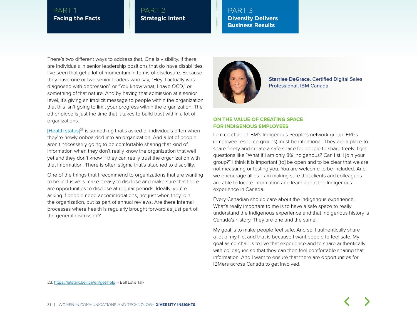#### PART 2 **Strategic Intent**

PART 3 **Diversity Delivers Business Results** 

There's two different ways to address that. One is visibility. If there are individuals in senior leadership positions that do have disabilities, I've seen that get a lot of momentum in terms of disclosure. Because they have one or two senior leaders who say, "Hey, I actually was diagnosed with depression" or "You know what, I have OCD," or something of that nature. And by having that admission at a senior level, it's giving an implicit message to people within the organization that this isn't going to limit your progress within the organization. The other piece is just the time that it takes to build trust within a lot of organizations.

[\[Health status\]](https://letstalk.bell.ca/en/get-help)<sup>23</sup> is something that's asked of individuals often when they're newly onboarded into an organization. And a lot of people aren't necessarily going to be comfortable sharing that kind of information when they don't really know the organization that well yet and they don't know if they can really trust the organization with that information. There is often stigma that's attached to disability.

One of the things that I recommend to organizations that are wanting to be inclusive is make it easy to disclose and make sure that there are opportunities to disclose at regular periods. Ideally, you're asking if people need accommodations, not just when they join the organization, but as part of annual reviews. Are there internal processes where health is regularly brought forward as just part of the general discussion?



**Starrlee DeGrace**, Certified Digital Sales Professional, IBM Canada

#### **ON THE VALUE OF CREATING SPACE FOR INDIGENOUS EMPLOYEES**

I am co-chair of IBM's Indigenous People's network group. ERGs (employee resource groups) must be intentional. They are a place to share freely and create a safe space for people to share freely. I get questions like "What if I am only 8% Indigenous? Can I still join your group?" I think it is important [to] be open and to be clear that we are not measuring or testing you. You are welcome to be included. And we encourage allies. I am making sure that clients and colleagues are able to locate information and learn about the Indigenous experience in Canada.

Every Canadian should care about the Indigenous experience. What's really important to me is to have a safe space to really understand the Indigenous experience and that Indigenous history is Canada's history. They are one and the same.

My goal is to make people feel safe. And so, I authentically share a lot of my life, and that is because I want people to feel safe. My goal as co-chair is to live that experience and to share authentically with colleagues so that they can then feel comfortable sharing that information. And I want to ensure that there are opportunities for IBMers across Canada to get involved.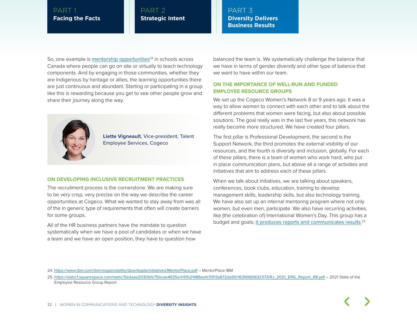#### PART 2 **Strategic Intent**

PART 3 **Diversity Delivers Business Results** 

So, one example is [mentorship opportunities](https://www.ibm.com/ibm/responsibility/downloads/initiatives/MentorPlace.pdf) $24$  in schools across Canada where people can go on site or virtually to teach technology components. And by engaging in those communities, whether they are Indigenous by heritage or allies, the learning opportunities there are just continuous and abundant. Starting or participating in a group like this is rewarding because you get to see other people grow and share their journey along the way.



**Liette Vigneault**, Vice-president, Talent Employee Services, Cogeco

#### **ON DEVELOPING INCLUSIVE RECRUITMENT PRACTICES**

The recruitment process is the cornerstone. We are making sure to be very crisp, very precise on the way we describe the career opportunities at Cogeco. What we wanted to stay away from was all of the in generic type of requirements that often will create barriers for some groups.

All of the HR business partners have the mandate to question systematically when we have a pool of candidates or when we have a team and we have an open position, they have to question how

balanced the team is. We systematically challenge the balance that we have in terms of gender diversity and other type of balance that we want to have within our team.

#### **ON THE IMPORTANCE OF WELL-RUN AND FUNDED EMPLOYEE RESOURCE GROUPS**

We set up the Cogeco Women's Network 8 or 9 years ago. It was a way to allow women to connect with each other and to talk about the different problems that women were facing, but also about possible solutions. The goal really was in the last five years, this network has really become more structured. We have created four pillars.

The first pillar is Professional Development, the second is the Support Network, the third promotes the external visibility of our resources, and the fourth is diversity and inclusion, globally. For each of these pillars, there is a team of women who work hard, who put in place communication plans, but above all a range of activities and initiatives that aim to address each of these pillars.

When we talk about initiatives, we are talking about speakers, conferences, book clubs, education, training to develop management skills, leadership skills, but also technology training. We have also set up an internal mentoring program where not only women, but even men, participate. We also have recurring activities, like (the celebration of) International Women's Day. This group has a budget and goals; <u>[it produces reports and communicates results](https://static1.squarespace.com/static/5edaae2030bfe75bcae4635e/t/61b21486eefc5913a872da95/1639060632373/RJ_2021_ERG_Report_R8.pdf).</u><sup>25</sup>

<sup>24.</sup> <https://www.ibm.com/ibm/responsibility/downloads/initiatives/MentorPlace.pdf> – MentorPlace IBM

<sup>25.</sup> [https://static1.squarespace.com/static/5edaae2030bfe75bcae4635e/t/61b21486eefc5913a872da95/1639060632373/RJ\\_2021\\_ERG\\_Report\\_R8.pdf](https://static1.squarespace.com/static/5edaae2030bfe75bcae4635e/t/61b21486eefc5913a872da95/1639060632373/RJ_2021_ERG_Report_R8.pdf) – 2021 State of the Employee Resource Group Report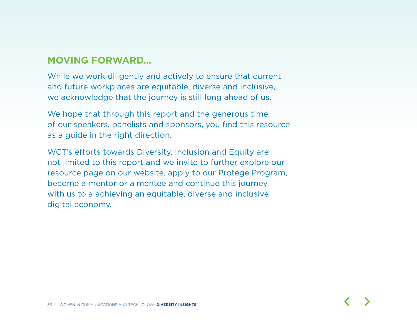## **MOVING FORWARD...**

While we work diligently and actively to ensure that current and future workplaces are equitable, diverse and inclusive, we acknowledge that the journey is still long ahead of us.

We hope that through this report and the generous time of our speakers, panelists and sponsors, you find this resource as a guide in the right direction.

WCT's efforts towards Diversity, Inclusion and Equity are not limited to this report and we invite to further explore our resource page on our website, apply to our Protege Program, become a mentor or a mentee and continue this journey with us to a achieving an equitable, diverse and inclusive digital economy.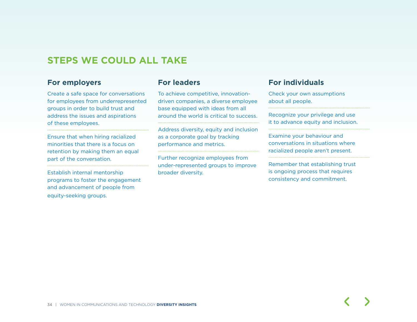## **STEPS WE COULD ALL TAKE**

#### **For employers**

Create a safe space for conversations for employees from underrepresented groups in order to build trust and address the issues and aspirations of these employees.

Ensure that when hiring racialized minorities that there is a focus on retention by making them an equal part of the conversation.

Establish internal mentorship programs to foster the engagement and advancement of people from equity-seeking groups.

#### **For leaders**

To achieve competitive, innovationdriven companies, a diverse employee base equipped with ideas from all around the world is critical to success.

Address diversity, equity and inclusion as a corporate goal by tracking performance and metrics.

Further recognize employees from under-represented groups to improve broader diversity.

#### **For individuals**

...................................

Check your own assumptions about all people.

Recognize your privilege and use it to advance equity and inclusion.

Examine your behaviour and conversations in situations where racialized people aren't present.

Remember that establishing trust is ongoing process that requires consistency and commitment.